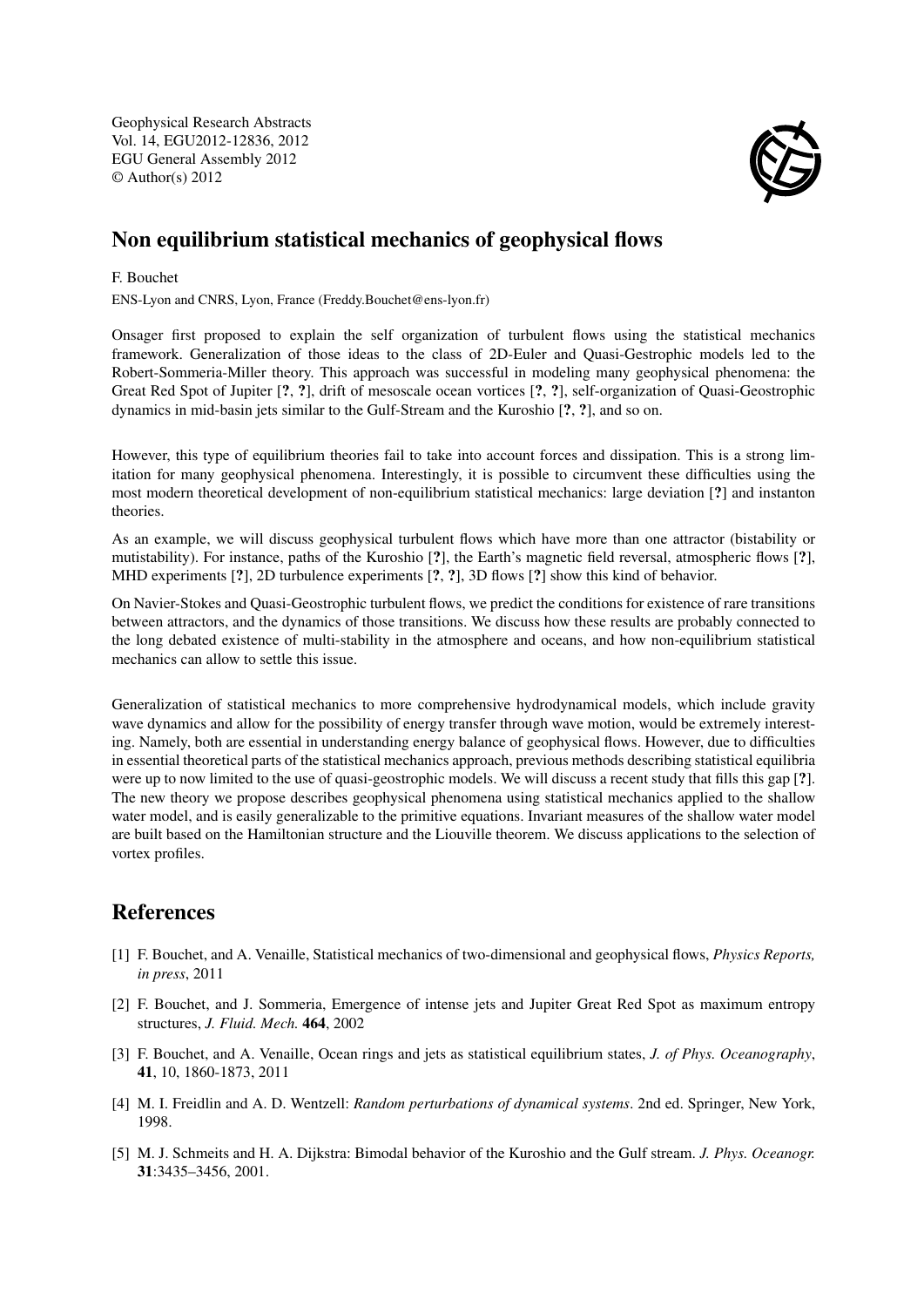Geophysical Research Abstracts Vol. 14, EGU2012-12836, 2012 EGU General Assembly 2012 © Author(s) 2012



## Non equilibrium statistical mechanics of geophysical flows

## F. Bouchet

ENS-Lyon and CNRS, Lyon, France (Freddy.Bouchet@ens-lyon.fr)

Onsager first proposed to explain the self organization of turbulent flows using the statistical mechanics framework. Generalization of those ideas to the class of 2D-Euler and Quasi-Gestrophic models led to the Robert-Sommeria-Miller theory. This approach was successful in modeling many geophysical phenomena: the Great Red Spot of Jupiter [?, ?], drift of mesoscale ocean vortices [?, ?], self-organization of Quasi-Geostrophic dynamics in mid-basin jets similar to the Gulf-Stream and the Kuroshio [?, ?], and so on.

However, this type of equilibrium theories fail to take into account forces and dissipation. This is a strong limitation for many geophysical phenomena. Interestingly, it is possible to circumvent these difficulties using the most modern theoretical development of non-equilibrium statistical mechanics: large deviation [?] and instanton theories.

As an example, we will discuss geophysical turbulent flows which have more than one attractor (bistability or mutistability). For instance, paths of the Kuroshio [?], the Earth's magnetic field reversal, atmospheric flows [?], MHD experiments [?], 2D turbulence experiments [?, ?], 3D flows [?] show this kind of behavior.

On Navier-Stokes and Quasi-Geostrophic turbulent flows, we predict the conditions for existence of rare transitions between attractors, and the dynamics of those transitions. We discuss how these results are probably connected to the long debated existence of multi-stability in the atmosphere and oceans, and how non-equilibrium statistical mechanics can allow to settle this issue.

Generalization of statistical mechanics to more comprehensive hydrodynamical models, which include gravity wave dynamics and allow for the possibility of energy transfer through wave motion, would be extremely interesting. Namely, both are essential in understanding energy balance of geophysical flows. However, due to difficulties in essential theoretical parts of the statistical mechanics approach, previous methods describing statistical equilibria were up to now limited to the use of quasi-geostrophic models. We will discuss a recent study that fills this gap [?]. The new theory we propose describes geophysical phenomena using statistical mechanics applied to the shallow water model, and is easily generalizable to the primitive equations. Invariant measures of the shallow water model are built based on the Hamiltonian structure and the Liouville theorem. We discuss applications to the selection of vortex profiles.

## References

- [1] F. Bouchet, and A. Venaille, Statistical mechanics of two-dimensional and geophysical flows, *Physics Reports, in press*, 2011
- [2] F. Bouchet, and J. Sommeria, Emergence of intense jets and Jupiter Great Red Spot as maximum entropy structures, *J. Fluid. Mech.* 464, 2002
- [3] F. Bouchet, and A. Venaille, Ocean rings and jets as statistical equilibrium states, *J. of Phys. Oceanography*, 41, 10, 1860-1873, 2011
- [4] M. I. Freidlin and A. D. Wentzell: *Random perturbations of dynamical systems*. 2nd ed. Springer, New York, 1998.
- [5] M. J. Schmeits and H. A. Dijkstra: Bimodal behavior of the Kuroshio and the Gulf stream. *J. Phys. Oceanogr.* 31:3435–3456, 2001.